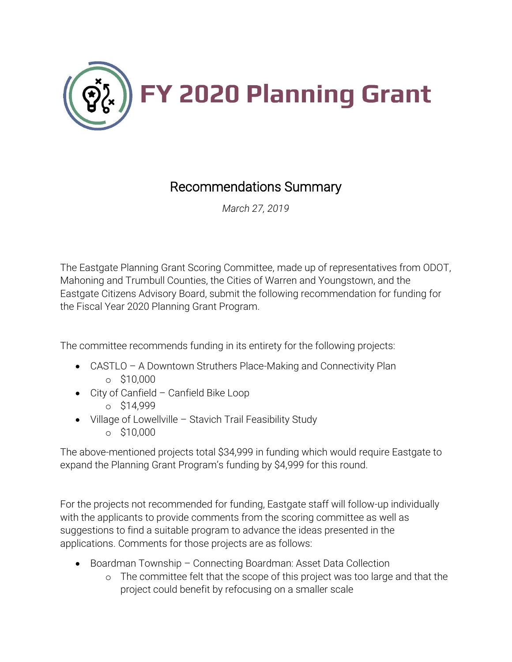

## Recommendations Summary

*March 27, 2019*

The Eastgate Planning Grant Scoring Committee, made up of representatives from ODOT, Mahoning and Trumbull Counties, the Cities of Warren and Youngstown, and the Eastgate Citizens Advisory Board, submit the following recommendation for funding for the Fiscal Year 2020 Planning Grant Program.

The committee recommends funding in its entirety for the following projects:

- CASTLO A Downtown Struthers Place-Making and Connectivity Plan o \$10,000
- City of Canfield Canfield Bike Loop
	- o \$14,999
- Village of Lowellville Stavich Trail Feasibility Study
	- o \$10,000

The above-mentioned projects total \$34,999 in funding which would require Eastgate to expand the Planning Grant Program's funding by \$4,999 for this round.

For the projects not recommended for funding, Eastgate staff will follow-up individually with the applicants to provide comments from the scoring committee as well as suggestions to find a suitable program to advance the ideas presented in the applications. Comments for those projects are as follows:

- Boardman Township Connecting Boardman: Asset Data Collection
	- o The committee felt that the scope of this project was too large and that the project could benefit by refocusing on a smaller scale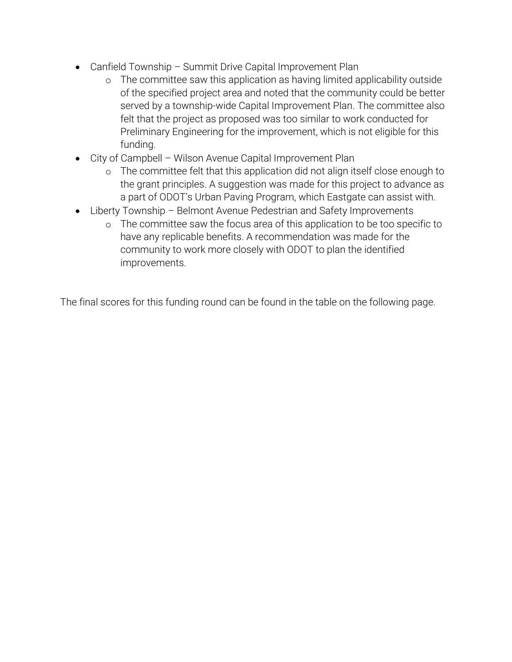- Canfield Township Summit Drive Capital Improvement Plan
	- o The committee saw this application as having limited applicability outside of the specified project area and noted that the community could be better served by a township-wide Capital Improvement Plan. The committee also felt that the project as proposed was too similar to work conducted for Preliminary Engineering for the improvement, which is not eligible for this funding.
- City of Campbell Wilson Avenue Capital Improvement Plan
	- o The committee felt that this application did not align itself close enough to the grant principles. A suggestion was made for this project to advance as a part of ODOT's Urban Paving Program, which Eastgate can assist with.
- Liberty Township Belmont Avenue Pedestrian and Safety Improvements
	- o The committee saw the focus area of this application to be too specific to have any replicable benefits. A recommendation was made for the community to work more closely with ODOT to plan the identified improvements.

The final scores for this funding round can be found in the table on the following page.